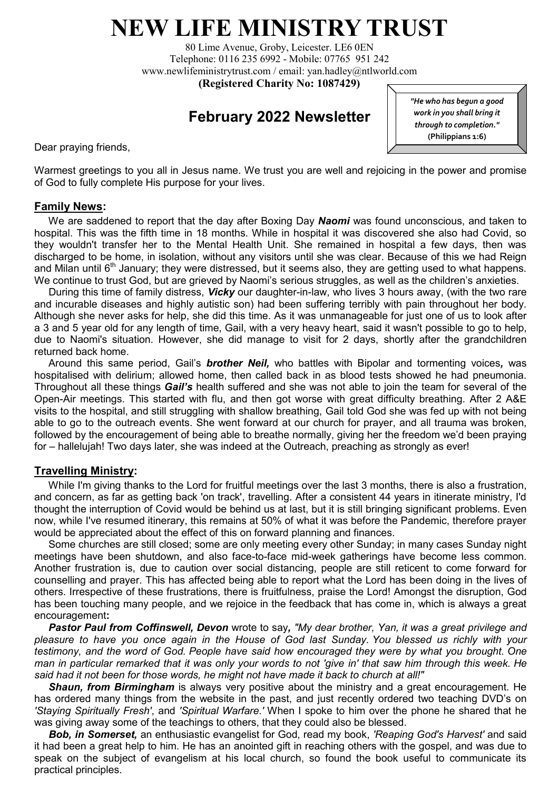# **NEW LIFE MINISTRY TRUST**

80 Lime Avenue, Groby, Leicester. LE6 0EN Telephone: 0116 235 6992 - Mobile: 07765 951 242 [www.newlifeministrytrust.com](http://www.newlifeministrytrust.com/) / email: yan.hadley@ntlworld.com **(Registered Charity No: 1087429)**

# **February 2022 Newsletter**

Dear praying friends,

*"He who has begun a good work in you shall bring it through to completion."*  **(Philippians 1:6)** 

Warmest greetings to you all in Jesus name. We trust you are well and rejoicing in the power and promise of God to fully complete His purpose for your lives.

#### **Family News:**

 We are saddened to report that the day after Boxing Day *Naomi* was found unconscious, and taken to hospital. This was the fifth time in 18 months. While in hospital it was discovered she also had Covid, so they wouldn't transfer her to the Mental Health Unit. She remained in hospital a few days, then was discharged to be home, in isolation, without any visitors until she was clear. Because of this we had Reign and Milan until  $6<sup>th</sup>$  January; they were distressed, but it seems also, they are getting used to what happens. We continue to trust God, but are grieved by Naomi's serious struggles, as well as the children's anxieties.

 During this time of family distress, *Vicky* our daughter-in-law, who lives 3 hours away, (with the two rare and incurable diseases and highly autistic son) had been suffering terribly with pain throughout her body. Although she never asks for help, she did this time. As it was unmanageable for just one of us to look after a 3 and 5 year old for any length of time, Gail, with a very heavy heart, said it wasn't possible to go to help, due to Naomi's situation. However, she did manage to visit for 2 days, shortly after the grandchildren returned back home.

 Around this same period, Gail's *brother Neil,* who battles with Bipolar and tormenting voices*,* was hospitalised with delirium; allowed home, then called back in as blood tests showed he had pneumonia. Throughout all these things *Gail's* health suffered and she was not able to join the team for several of the Open-Air meetings. This started with flu, and then got worse with great difficulty breathing. After 2 A&E visits to the hospital, and still struggling with shallow breathing, Gail told God she was fed up with not being able to go to the outreach events. She went forward at our church for prayer, and all trauma was broken, followed by the encouragement of being able to breathe normally, giving her the freedom we'd been praying for – hallelujah! Two days later, she was indeed at the Outreach, preaching as strongly as ever!

## **Travelling Ministry:**

While I'm giving thanks to the Lord for fruitful meetings over the last 3 months, there is also a frustration, and concern, as far as getting back 'on track', travelling. After a consistent 44 years in itinerate ministry, I'd thought the interruption of Covid would be behind us at last, but it is still bringing significant problems. Even now, while I've resumed itinerary, this remains at 50% of what it was before the Pandemic, therefore prayer would be appreciated about the effect of this on forward planning and finances.

 Some churches are still closed; some are only meeting every other Sunday; in many cases Sunday night meetings have been shutdown, and also face-to-face mid-week gatherings have become less common. Another frustration is, due to caution over social distancing, people are still reticent to come forward for counselling and prayer. This has affected being able to report what the Lord has been doing in the lives of others. Irrespective of these frustrations, there is fruitfulness, praise the Lord! Amongst the disruption, God has been touching many people, and we rejoice in the feedback that has come in, which is always a great encouragement**:**

 *Pastor Paul from Coffinswell, Devon* wrote to say*, "My dear brother, Yan, it was a great privilege and pleasure to have you once again in the House of God last Sunday. You blessed us richly with your testimony, and the word of God. People have said how encouraged they were by what you brought. One man in particular remarked that it was only your words to not 'give in' that saw him through this week. He said had it not been for those words, he might not have made it back to church at all!"*

 *Shaun, from Birmingham* is always very positive about the ministry and a great encouragement. He has ordered many things from the website in the past, and just recently ordered two teaching DVD's on *'Staying Spiritually Fresh'*, and *'Spiritual Warfare.'* When I spoke to him over the phone he shared that he was giving away some of the teachings to others, that they could also be blessed.

 *Bob, in Somerset,* an enthusiastic evangelist for God, read my book, *'Reaping God's Harvest'* and said it had been a great help to him. He has an anointed gift in reaching others with the gospel, and was due to speak on the subject of evangelism at his local church, so found the book useful to communicate its practical principles.